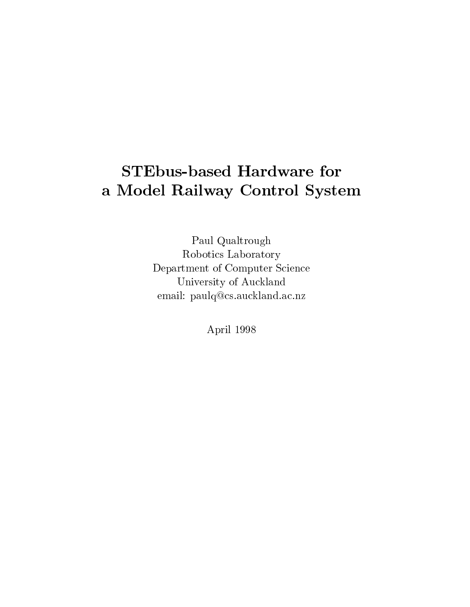# STEbus-based Hardware for <sup>a</sup> Model Railway Control System

Paul Qualtrough Robotics Laboratory Department of Computer Science University of Auckland email: paulq@cs.auckland.ac.nz

April 1998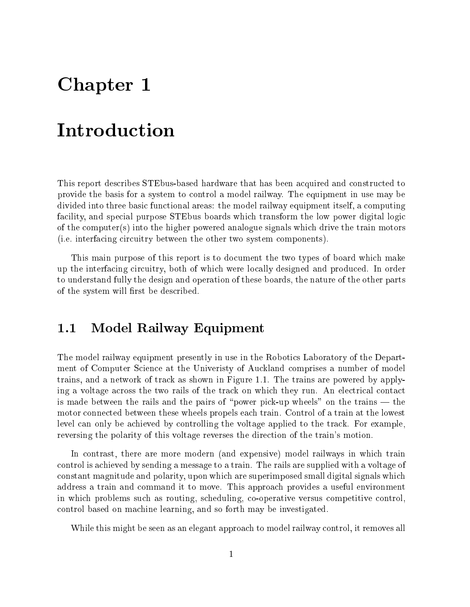# Chapter <sup>1</sup>

## Introduction

This report describes STEbus-based hardware that has been acquired and constructed to provide the basis for a system to control a model railway. The equipment in use may be divided into three basic functional areas: the model railway equipment itself, a computing facility, and special purpose STEbus boards which transform the low power digital logic of the computer(s) into the higher powered analogue signals which drive the train motors (i.e. interfacing circuitry between the other two system components).

This main purpose of this report is to document the two types of board which make up the interfacing circuitry, both of which were locally designed and produced. In order to understand fully the design and operation of these boards, the nature of the other parts of the system will first be described.

## 1.1 Model Railway Equipment

The model railway equipment presently in use in the Robotics Laboratory of the Department of Computer Science at the Univeristy of Auckland comprises a number of model trains, and a network of track as shown in Figure 1.1. The trains are powered by applying a voltage across the two rails of the track on which they run. An electrical contact is made between the rails and the pairs of "power pick-up wheels" on the trains  $-$  the motor connected between these wheels propels each train. Control of a train at the lowest level can only be achieved by controlling the voltage applied to the track. For example, reversing the polarity of this voltage reverses the direction of the train's motion.

In contrast, there are more modern (and expensive) model railways in which train control is achieved by sending a message to a train. The rails are supplied with a voltage of constant magnitude and polarity, upon which are superimposed small digital signals which address a train and command it to move. This approach provides a useful environment in which problems such as routing, scheduling, co-operative versus competitive control, control based on machine learning, and so forth may be investigated.

While this might be seen as an elegant approach to model railway control, it removes all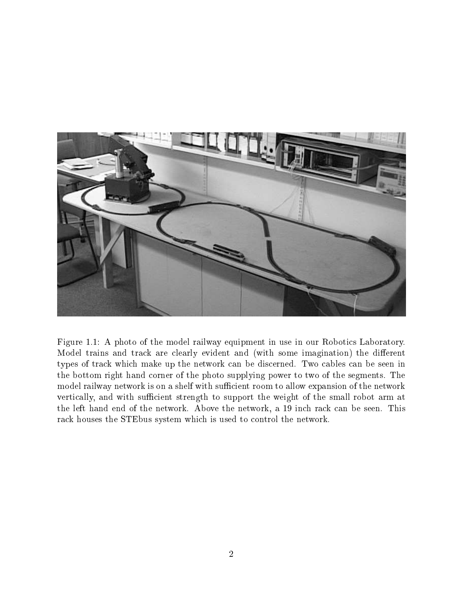

Figure 1.1: A photo of the model railway equipment in use in our Robotics Laboratory. Model trains and track are clearly evident and (with some imagination) the different types of track which make up the network can be discerned. Two cables can be seen in the bottom right hand corner of the photo supplying power to two of the segments. The model railway network is on a shelf with sufficient room to allow expansion of the network vertically, and with sufficient strength to support the weight of the small robot arm at the left hand end of the network. Above the network, a 19 inch rack can be seen. This rack houses the STEbus system which is used to control the network.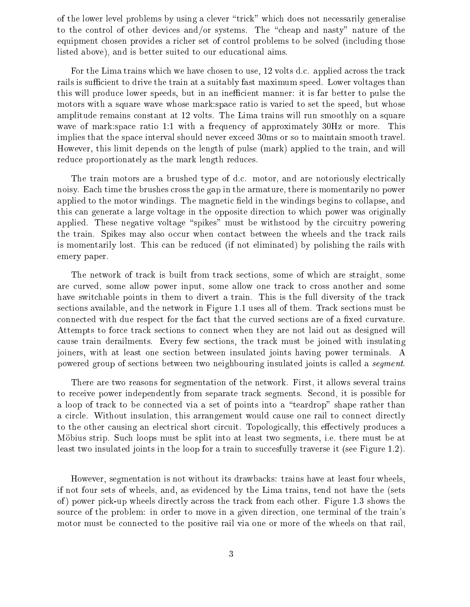of the lower level problems by using a clever \trick" which does not necessarily generalise to the control of other devices and/or systems. The "cheap and nasty" nature of the equipment chosen provides a richer set of control problems to be solved (including those listed above), and is better suited to our educational aims.

For the Lima trains which we have chosen to use, 12 volts d.c. applied across the track rails is sufficient to drive the train at a suitably fast maximum speed. Lower voltages than this will produce lower speeds, but in an inefficient manner: it is far better to pulse the motors with a square wave whose mark:space ratio is varied to set the speed, but whose amplitude remains constant at 12 volts. The Lima trains will run smoothly on a square wave of mark:space ratio 1:1 with a frequency of approximately 30Hz or more. This implies that the space interval should never exceed 30ms or so to maintain smooth travel. However, this limit depends on the length of pulse (mark) applied to the train, and will reduce proportionately as the mark length reduces.

The train motors are a brushed type of d.c. motor, and are notoriously electrically noisy. Each time the brushes cross the gap in the armature, there is momentarily no power applied to the motor windings. The magnetic field in the windings begins to collapse, and this can generate a large voltage in the opposite direction to which power was originally applied. These negative voltage "spikes" must be withstood by the circuitry powering the train. Spikes may also occur when contact between the wheels and the track rails is momentarily lost. This can be reduced (if not eliminated) by polishing the rails with emery paper.

The network of track is built from track sections, some of which are straight, some are curved, some allow power input, some allow one track to cross another and some have switchable points in them to divert a train. This is the full diversity of the track sections available, and the network in Figure 1.1 uses all of them. Track sections must be connected with due respect for the fact that the curved sections are of a fixed curvature. Attempts to force track sections to connect when they are not laid out as designed will cause train derailments. Every few sections, the track must be joined with insulating joiners, with at least one section between insulated joints having power terminals. A powered group of sections between two neighbouring insulated joints is called a segment.

There are two reasons for segmentation of the network. First, it allows several trains to receive power independently from separate track segments. Second, it is possible for a loop of track to be connected via a set of points into a "teardrop" shape rather than a circle. Without insulation, this arrangement would cause one rail to connect directly to the other causing an electrical short circuit. Topologically, this effectively produces a Möbius strip. Such loops must be split into at least two segments, i.e. there must be at least two insulated joints in the loop for a train to succesfully traverse it (see Figure 1.2).

However, segmentation is not without its drawbacks: trains have at least four wheels, if not four sets of wheels, and, as evidenced by the Lima trains, tend not have the (sets of ) power pick-up wheels directly across the track from each other. Figure 1.3 shows the source of the problem: in order to move in a given direction, one terminal of the train's motor must be connected to the positive rail via one or more of the wheels on that rail,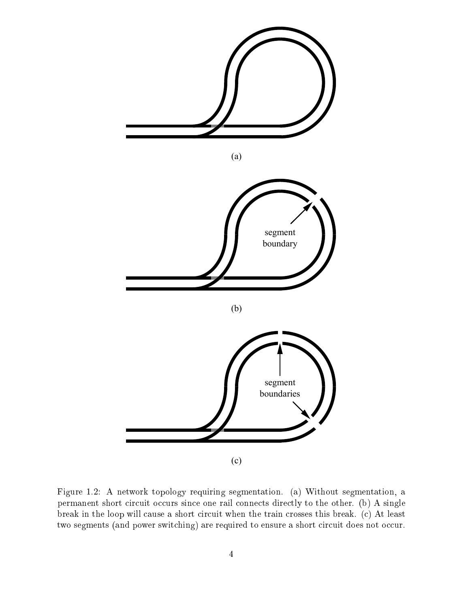

Figure 1.2: A network topology requiring segmentation. (a) Without segmentation, a permanent short circuit occurs since one rail connects directly to the other. (b) A single break in the loop will cause a short circuit when the train crosses this break. (c) At least two segments (and power switching) are required to ensure a short circuit does not occur.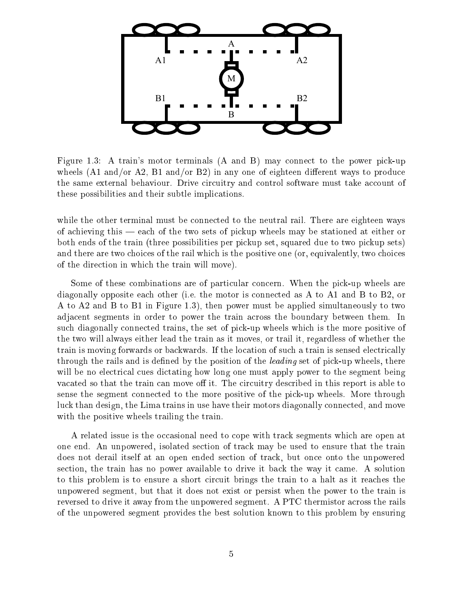

Figure 1.3: A train's motor terminals (A and B) may connect to the power pick-up wheels  $(A1 \text{ and/or } A2, B1 \text{ and/or } B2)$  in any one of eighteen different ways to produce the same external behaviour. Drive circuitry and control software must take account of these possibilities and their subtle implications.

while the other terminal must be connected to the neutral rail. There are eighteen ways of achieving this  $-$  each of the two sets of pickup wheels may be stationed at either or both ends of the train (three possibilities per pickup set, squared due to two pickup sets) and there are two choices of the rail which is the positive one (or, equivalently, two choices of the direction in which the train will move).

Some of these combinations are of particular concern. When the pick-up wheels are diagonally opposite each other (i.e. the motor is connected as A to A1 and B to B2, or A to A2 and B to B1 in Figure 1.3), then power must be applied simultaneously to two adjacent segments in order to power the train across the boundary between them. In such diagonally connected trains, the set of pick-up wheels which is the more positive of the two will always either lead the train as it moves, or trail it, regardless of whether the train is moving forwards or backwards. If the location of such a train is sensed electrically through the rails and is defined by the position of the *leading* set of pick-up wheels, there will be no electrical cues dictating how long one must apply power to the segment being vacated so that the train can move off it. The circuitry described in this report is able to sense the segment connected to the more positive of the pick-up wheels. More through luck than design, the Lima trains in use have their motors diagonally connected, and move with the positive wheels trailing the train.

A related issue is the occasional need to cope with track segments which are open at one end. An unpowered, isolated section of track may be used to ensure that the train does not derail itself at an open ended section of track, but once onto the unpowered section, the train has no power available to drive it back the way it came. A solution to this problem is to ensure a short circuit brings the train to a halt as it reaches the unpowered segment, but that it does not exist or persist when the power to the train is reversed to drive it away from the unpowered segment. A PTC thermistor across the rails of the unpowered segment provides the best solution known to this problem by ensuring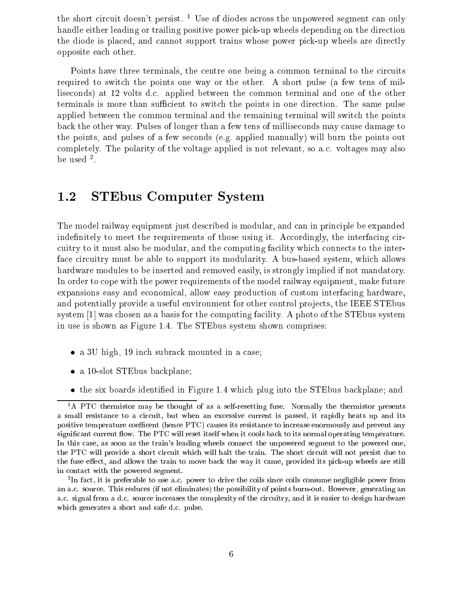the short circuit doesn't persist. <sup>1</sup> Use of diodes across the unpowered segment can only handle either leading or trailing positive power pick-up wheels depending on the direction the diode is placed, and cannot support trains whose power pick-up wheels are directly opposite each other.

Points have three terminals, the centre one being a common terminal to the circuits required to switch the points one way or the other. A short pulse (a few tens of milliseconds) at 12 volts d.c. applied between the common terminal and one of the other terminals is more than sufficient to switch the points in one direction. The same pulse applied between the common terminal and the remaining terminal will switch the points back the other way. Pulses of longer than a few tens of milliseconds may cause damage to the points, and pulses of a few seconds (e.g. applied manually) will burn the points out completely. The polarity of the voltage applied is not relevant, so a.c. voltages may also pe used -.

## 1.2 STEbus Computer System

The model railway equipment just described is modular, and can in principle be expanded indefinitely to meet the requirements of those using it. Accordingly, the interfacing circuitry to it must also be modular, and the computing facility which connects to the interface circuitry must be able to support its modularity. A bus-based system, which allows hardware modules to be inserted and removed easily, is strongly implied if not mandatory. In order to cope with the power requirements of the model railway equipment, make future expansions easy and economical, allow easy production of custom interfacing hardware, and potentially provide a useful environment for other control projects, the IEEE STEbus system [1] was chosen as a basis for the computing facility. A photo of the STEbus system in use is shown as Figure 1.4. The STEbus system shown comprises:

- a 3U high, 19 inch subrack mounted in a case;
- a 10-slot STEbus backplane;
- the six boards identied in Figure 1.4 which plug into the STEbus backplane; and

<sup>&</sup>lt;sup>1</sup>A PTC thermistor may be thought of as a self-resetting fuse. Normally the thermistor presents a small resistance to a circuit, but when an excessive current is passed, it rapidly heats up and its positive temperature coefficent (hence PTC) causes its resistance to increase enormously and prevent any significant current flow. The PTC will reset itself when it cools back to its normal operating temperature. In this case, as soon as the train's leading wheels connect the unpowered segment to the powered one, the PTC will provide a short circuit which will halt the train. The short circuit will not persist due to the fuse effect, and allows the train to move back the way it came, provided its pick-up wheels are still in contact with the powered segment.

<sup>2</sup> In fact, it is preferable to use a.c. power to drive the coils since coils consume negligible power from an a.c. source. This reduces (if not eliminates) the possibility of points burn-out. However, generating an a.c. signal from a d.c. source increases the complexity of the circuitry, and it is easier to design hardware which generates a short and safe d.c. pulse.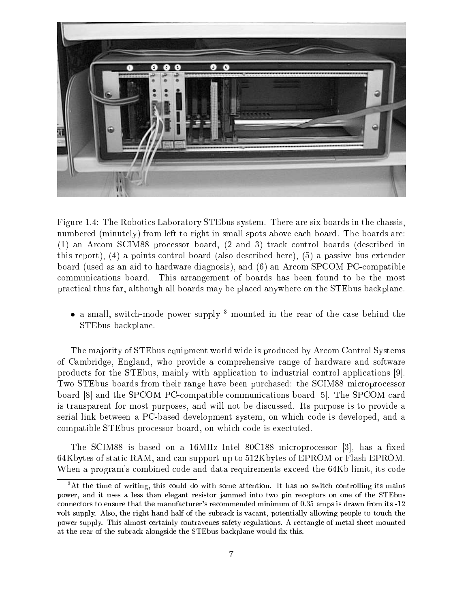

Figure 1.4: The Robotics Laboratory STEbus system. There are six boards in the chassis, numbered (minutely) from left to right in small spots above each board. The boards are: (1) an Arcom SCIM88 processor board, (2 and 3) track control boards (described in this report), (4) a points control board (also described here), (5) a passive bus extender board (used as an aid to hardware diagnosis), and (6) an Arcom SPCOM PC-compatible communications board. This arrangement of boards has been found to be the most practical thus far, although all boards may be placed anywhere on the STEbus backplane.

• a small, switch-mode power supply  $3$  mounted in the rear of the case behind the STEbus backplane.

The majority of STEbus equipment world wide is produced by Arcom Control Systems of Cambridge, England, who provide a comprehensive range of hardware and software products for the STEbus, mainly with application to industrial control applications [9]. Two STEbus boards from their range have been purchased: the SCIM88 microprocessor board [8] and the SPCOM PC-compatible communications board [5]. The SPCOM card is transparent for most purposes, and will not be discussed. Its purpose is to provide a serial link between a PC-based development system, on which code is developed, and a compatible STEbus processor board, on which code is exectuted.

The SCIM88 is based on a  $16MHz$  Intel 80C188 microprocessor [3], has a fixed 64Kbytes of static RAM, and can support up to 512Kbytes of EPROM or Flash EPROM. When a program's combined code and data requirements exceed the 64Kb limit, its code

 ${}^{3}$ At the time of writing, this could do with some attention. It has no switch controlling its mains power, and it uses a less than elegant resistor jammed into two pin receptors on one of the STEbus connectors to ensure that the manufacturer's recommended minimum of 0.35 amps is drawn from its -12 volt supply. Also, the right hand half of the subrack is vacant, potentially allowing people to touch the power supply. This almost certainly contravenes safety regulations. A rectangle of metal sheet mounted at the rear of the subrack alongside the STEbus backplane would fix this.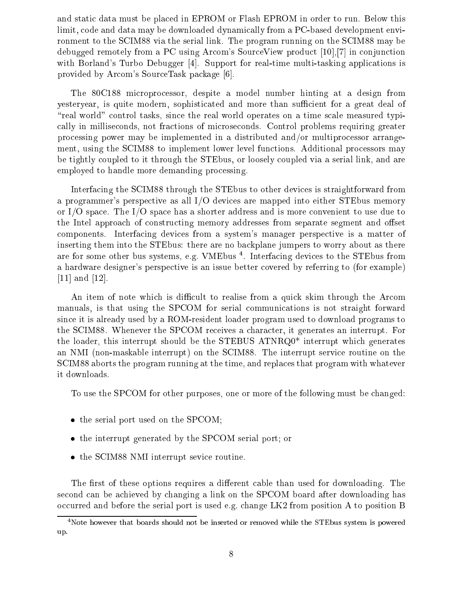and static data must be placed in EPROM or Flash EPROM in order to run. Below this limit, code and data may be downloaded dynamically from a PC-based development environment to the SCIM88 via the serial link. The program running on the SCIM88 may be debugged remotely from a PC using Arcom's SourceView product [10],[7] in conjunction with Borland's Turbo Debugger [4]. Support for real-time multi-tasking applications is provided by Arcom's SourceTask package [6].

The 80C188 microprocessor, despite a model number hinting at a design from yesteryear, is quite modern, sophisticated and more than sufficient for a great deal of "real world" control tasks, since the real world operates on a time scale measured typically in milliseconds, not fractions of microseconds. Control problems requiring greater processing power may be implemented in a distributed and/or multiprocessor arrangement, using the SCIM88 to implement lower level functions. Additional processors may be tightly coupled to it through the STEbus, or loosely coupled via a serial link, and are employed to handle more demanding processing.

Interfacing the SCIM88 through the STEbus to other devices is straightforward from a programmer's perspective as all I/O devices are mapped into either STEbus memory or I/O space. The I/O space has a shorter address and is more convenient to use due to the Intel approach of constructing memory addresses from separate segment and offset components. Interfacing devices from a system's manager perspective is a matter of inserting them into the STEbus: there are no backplane jumpers to worry about as there are for some other bus systems, e.g. VMEbus 4. Interfacing devices to the STEbus from a hardware designer's perspective is an issue better covered by referring to (for example) [11] and [12].

An item of note which is difficult to realise from a quick skim through the Arcom manuals, is that using the SPCOM for serial communications is not straight forward since it is already used by a ROM-resident loader program used to download programs to the SCIM88. Whenever the SPCOM receives a character, it generates an interrupt. For the loader, this interrupt should be the STEBUS ATNRQ0\* interrupt which generates an NMI (non-maskable interrupt) on the SCIM88. The interrupt service routine on the SCIM88 aborts the program running at the time, and replaces that program with whatever it downloads.

To use the SPCOM for other purposes, one or more of the following must be changed:

- the serial port used on the SPCOM;
- the interrupt generated by the SPCOM serial port; or
- the SCIM88 NMI interrupt sevice routine.

The first of these options requires a different cable than used for downloading. The second can be achieved by changing a link on the SPCOM board after downloading has occurred and before the serial port is used e.g. change LK2 from position A to position B

<sup>4</sup>Note however that boards should not be inserted or removed while the STEbus system is powered up.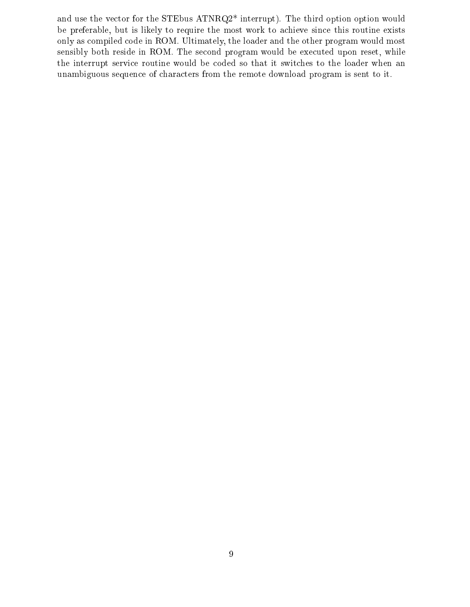and use the vector for the STEbus ATNRQ2\* interrupt). The third option option would be preferable, but is likely to require the most work to achieve since this routine exists only as compiled code in ROM. Ultimately, the loader and the other program would most sensibly both reside in ROM. The second program would be executed upon reset, while the interrupt service routine would be coded so that it switches to the loader when an unambiguous sequence of characters from the remote download program is sent to it.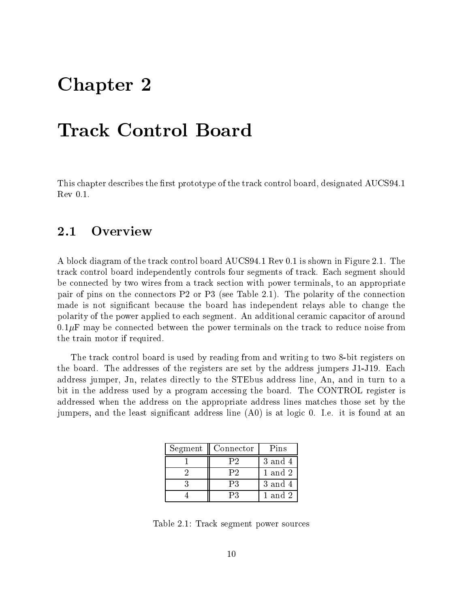## Chapter <sup>2</sup>

This chapter describes the first prototype of the track control board, designated AUCS94.1 Rev 0.1.

## Overview

A block diagram of the track control board AUCS94.1 Rev 0.1 is shown in Figure 2.1. The track control board independently controls four segments of track. Each segment should be connected by two wires from a track section with power terminals, to an appropriate pair of pins on the connectors P2 or P3 (see Table 2.1). The polarity of the connection made is not signicant because the board has independent relays able to change the polarity of the power applied to each segment. An additional ceramic capacitor of around  $0.1\mu$ F may be connected between the power terminals on the track to reduce noise from the train motor if required.

The track control board is used by reading from and writing to two 8-bit registers on the board. The addresses of the registers are set by the address jumpers J1-J19. Each address jumper, Jn, relates directly to the STEbus address line, An, and in turn to a bit in the address used by a program accessing the board. The CONTROL register is addressed when the address on the appropriate address lines matches those set by the jumpers, and the least signicant address line (A0) is at logic 0. I.e. it is found at an

| Segment | Connector | Pins        |
|---------|-----------|-------------|
|         | Р2        | 3 and 4     |
|         | P2        | 1 and 2     |
|         | P3        | 3 and 4     |
|         | PЗ        | $1$ and $2$ |

Table 2.1: Track segment power sources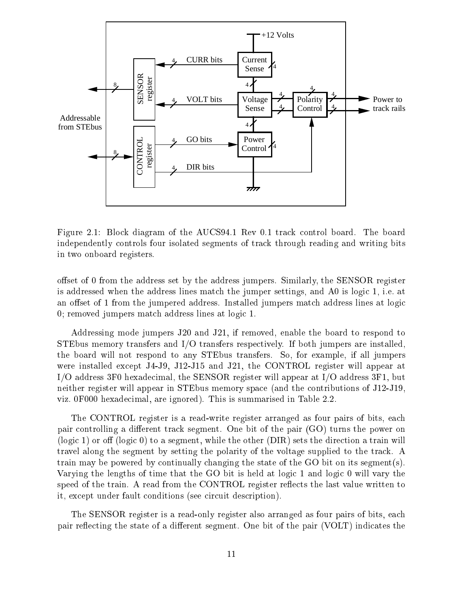

Figure 2.1: Block diagram of the AUCS94.1 Rev 0.1 track control board. The board independently controls four isolated segments of track through reading and writing bits in two onboard registers.

offset of 0 from the address set by the address jumpers. Similarly, the SENSOR register is addressed when the address lines match the jumper settings, and A0 is logic 1, i.e. at an offset of 1 from the jumpered address. Installed jumpers match address lines at logic 0; removed jumpers match address lines at logic 1.

Addressing mode jumpers J20 and J21, if removed, enable the board to respond to STEbus memory transfers and I/O transfers respectively. If both jumpers are installed, the board will not respond to any STEbus transfers. So, for example, if all jumpers were installed except J4-J9, J12-J15 and J21, the CONTROL register will appear at I/O address 3F0 hexadecimal, the SENSOR register will appear at I/O address 3F1, but neither register will appear in STEbus memory space (and the contributions of J12-J19, viz. 0F000 hexadecimal, are ignored). This is summarised in Table 2.2.

The CONTROL register is a read-write register arranged as four pairs of bits, each pair controlling a different track segment. One bit of the pair  $(GO)$  turns the power on (logic 1) or off (logic 0) to a segment, while the other (DIR) sets the direction a train will travel along the segment by setting the polarity of the voltage supplied to the track. A train may be powered by continually changing the state of the GO bit on its segment(s). Varying the lengths of time that the GO bit is held at logic 1 and logic 0 will vary the speed of the train. A read from the CONTROL register reflects the last value written to it, except under fault conditions (see circuit description).

The SENSOR register is a read-only register also arranged as four pairs of bits, each pair reflecting the state of a different segment. One bit of the pair (VOLT) indicates the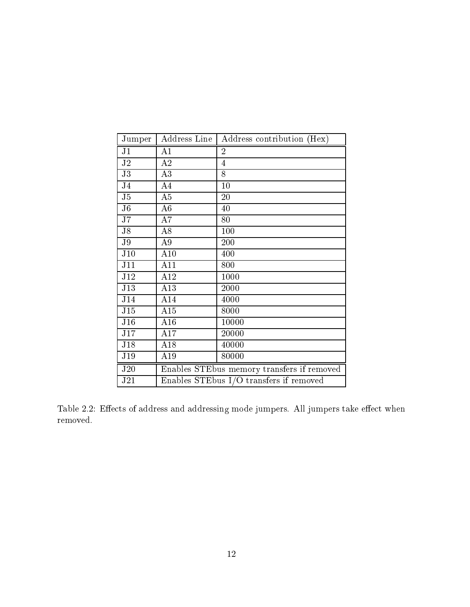| Jumper         | Address Line                            | Address contribution (Hex)                 |
|----------------|-----------------------------------------|--------------------------------------------|
| J <sub>1</sub> | A1                                      | $\overline{2}$                             |
| J <sub>2</sub> | $\rm A2$                                | $\overline{4}$                             |
| J3             | A3                                      | 8                                          |
| J <sub>4</sub> | A4                                      | 10                                         |
| J5             | A5                                      | 20                                         |
| J <sub>6</sub> | A6                                      | 40                                         |
| J7             | A7                                      | 80                                         |
| J8             | A8                                      | 100                                        |
| J <sub>9</sub> | A9                                      | 200                                        |
| J10            | A10                                     | 400                                        |
| J11            | A11                                     | 800                                        |
| J12            | A12                                     | 1000                                       |
| J13            | A13                                     | 2000                                       |
| J14            | A14                                     | 4000                                       |
| J15            | A15                                     | 8000                                       |
| J16            | A16                                     | 10000                                      |
| J17            | A17                                     | 20000                                      |
| J18            | A18                                     | 40000                                      |
| J19            | A19                                     | 80000                                      |
| J20            |                                         | Enables STEbus memory transfers if removed |
| J21            | Enables STEbus I/O transfers if removed |                                            |

Table 2.2: Effects of address and addressing mode jumpers. All jumpers take effect when removed.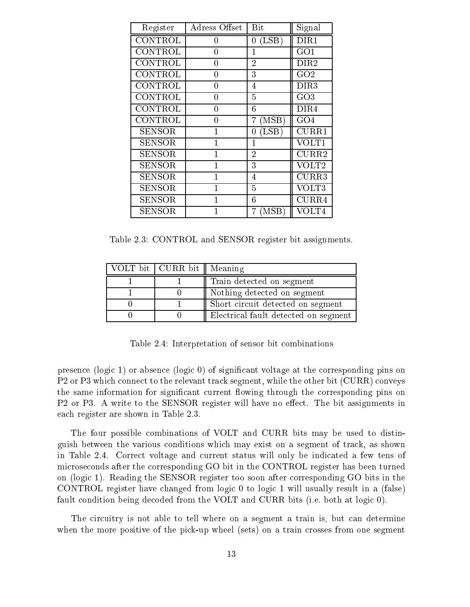| Register      | Adress Offset | Bit                                 | Signal                    |
|---------------|---------------|-------------------------------------|---------------------------|
| CONTROL       | 0             | (LSB)<br>0                          | DIR1                      |
| CONTROL       | 0             | 1                                   | GO1                       |
| CONTROL       | 0             | $\overline{2}$                      | $\rm{DIR2}$               |
| CONTROL       | 0             | 3                                   | GO2                       |
| CONTROL       | 0             | 4                                   | $\rm{DIR3}$               |
| CONTROL       | 0             | $\overline{5}$                      | GO3                       |
| CONTROL       | 0             | 6                                   | $\rm{DIR4}$               |
| CONTROL       | 0             | $\left( \mathrm{MSB}\right)$        | GO4                       |
| <b>SENSOR</b> | $\mathbf 1$   | $(\operatorname{LSB}^{\cdot})$<br>0 | CURR1                     |
| <b>SENSOR</b> | 1             | 1                                   | VOLT1                     |
| <b>SENSOR</b> |               | $\overline{2}$                      | $\overline{\text{CURR}}2$ |
| <b>SENSOR</b> | $\mathbf 1$   | 3                                   | VOLT2                     |
| SENSOR        |               | 4                                   | CURR3                     |
| <b>SENSOR</b> |               | $\overline{5}$                      | VOLT3                     |
| <b>SENSOR</b> | 1             | 6                                   | CURR4                     |
| SENSOR        |               | $_{\rm MSB}$                        | VOLT4                     |

Table 2.3: CONTROL and SENSOR register bit assignments.

| VOLT bit   CURR bit    Meaning |                                      |
|--------------------------------|--------------------------------------|
|                                | Train detected on segment            |
|                                | Nothing detected on segment          |
|                                | Short circuit detected on segment    |
|                                | Electrical fault detected on segment |

Table 2.4: Interpretation of sensor bit combinations

presence (logic 1) or absence (logic 0) of signicant voltage at the corresponding pins on P2 or P3 which connect to the relevant track segment, while the other bit (CURR) conveys the same information for significant current flowing through the corresponding pins on P2 or P3. A write to the SENSOR register will have no effect. The bit assignments in each register are shown in Table 2.3.

The four possible combinations of VOLT and CURR bits may be used to distinguish between the various conditions which may exist on a segment of track, as shown in Table 2.4. Correct voltage and current status will only be indicated a few tens of microseconds after the corresponding GO bit in the CONTROL register has been turned on (logic 1). Reading the SENSOR register too soon after corresponding GO bits in the CONTROL register have changed from logic 0 to logic 1 will usually result in a (false) fault condition being decoded from the VOLT and CURR bits (i.e. both at logic 0).

The circuitry is not able to tell where on a segment a train is, but can determine when the more positive of the pick-up wheel (sets) on a train crosses from one segment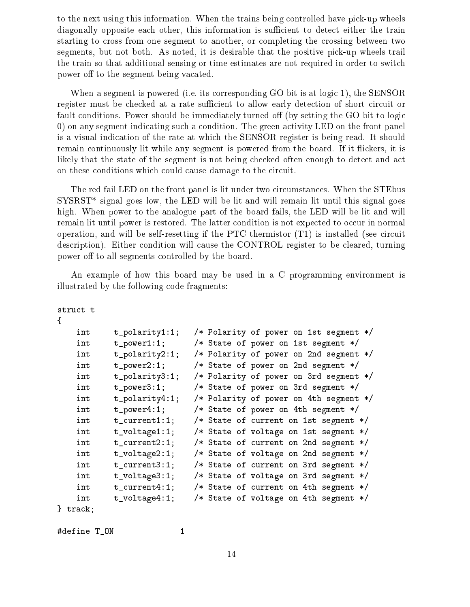to the next using this information. When the trains being controlled have pick-up wheels diagonally opposite each other, this information is sufficient to detect either the train starting to cross from one segment to another, or completing the crossing between two segments, but not both. As noted, it is desirable that the positive pick-up wheels trail the train so that additional sensing or time estimates are not required in order to switch power off to the segment being vacated.

When a segment is powered (i.e. its corresponding GO bit is at logic 1), the SENSOR register must be checked at a rate sufficient to allow early detection of short circuit or fault conditions. Power should be immediately turned off (by setting the GO bit to logic 0) on any segment indicating such a condition. The green activity LED on the front panel is a visual indication of the rate at which the SENSOR register is being read. It should remain continuously lit while any segment is powered from the board. If it flickers, it is likely that the state of the segment is not being checked often enough to detect and act on these conditions which could cause damage to the circuit.

The red fail LED on the front panel is lit under two circumstances. When the STEbus  ${\rm SYSRST}^*$  signal goes low, the LED will be lit and will remain lit until this signal goes high. When power to the analogue part of the board fails, the LED will be lit and will remain lit until power is restored. The latter condition is not expected to occur in normal operation, and will be self-resetting if the PTC thermistor (T1) is installed (see circuit description). Either condition will cause the CONTROL register to be cleared, turning power off to all segments controlled by the board.

An example of how this board may be used in a C programming environment is illustrated by the following code fragments:

```
struct t
{
   int t_polarity1:1; /* Polarity of power on 1st segment */
   int t_power1:1; /* State of power on 1st segment */
   int t_polarity2:1; /* Polarity of power on 2nd segment */
   int t_power2:1; /* State of power on 2nd segment */
   int t_polarity3:1; /* Polarity of power on 3rd segment */
   int t_power3:1; /* State of power on 3rd segment */
   int t_polarity4:1; /* Polarity of power on 4th segment */
   int t_power4:1; /* State of power on 4th segment */
   int t_current1:1; /* State of current on 1st segment */
   int t_voltage1:1; /* State of voltage on 1st segment */
   int t_current2:1; /* State of current on 2nd segment */
   int t_voltage2:1; /* State of voltage on 2nd segment */
   int t_current3:1; /* State of current on 3rd segment */
   int t_voltage3:1; /* State of voltage on 3rd segment */
   int t_current4:1; /* State of current on 4th segment */
   int t_voltage4:1; /* State of voltage on 4th segment */
} track;
```
#define T\_ON 1

14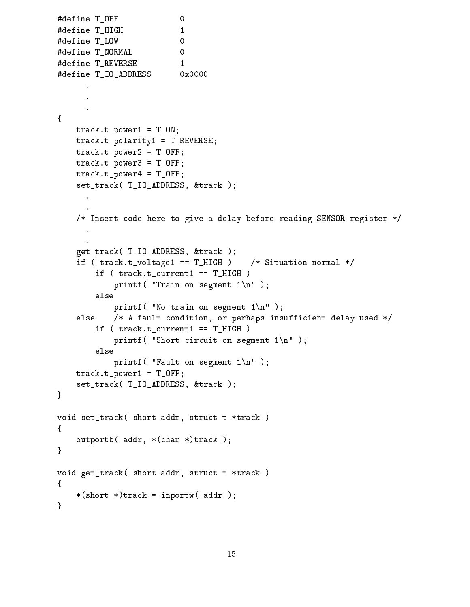```
#define T_OFF 0
#define T_HIGH 1
#define T_LOW
                          \mathbf{0}#define T_NORMAL 0
                         \overline{0}#define T_REVERSE 1
#define T_IO_ADDRESS 0x0C00
      .
{
    track.t\_power1 = T_0N;track.t_polarity1 = T_REVERSE;
   track.t\_power2 = T_OFF;track.t_power3 = T_OFF;track.t\_power4 = T_OFF;set_track( T_IO_ADDRESS, &track );
      \ddot{\phantom{a}}/* Insert code here to give a delay before reading SENSOR register */
   get_track( T_IO_ADDRESS, &track );
    if ( track.t_voltagel == T_HIGH ) /* Situation normal */
        if (track.t_current1 == T_HIGH))
            printf( "Train on segment 1\n" );
        else
            printf( "No train on segment 1\n\cdot" );
    else /* A fault condition, or perhaps insufficient delay used */
        if (track.t_current1 == T_HIGH)
            printf( "Short circuit on segment 1\n" );
        else
            printf( "Fault on segment 1\n" );
    track.t\_power1 = T_OFF;set_track( T_IO_ADDRESS, &track );
}
void set_track( short addr, struct t *track )
{
    outportb( addr, *(char *)track );
}
void get_track( short addr, struct t *track )
{
    *(short *)track = input(w (addr));}
```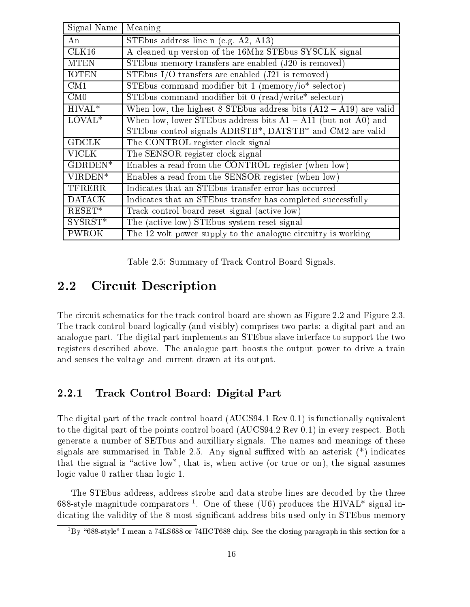| Signal Name   | Meaning                                                             |
|---------------|---------------------------------------------------------------------|
| An            | STEbus address line n (e.g. $A2$ , $A13$ )                          |
| CLK16         | A cleaned up version of the 16Mhz STEbus SYSCLK signal              |
| <b>MTEN</b>   | STEbus memory transfers are enabled $(J20$ is removed)              |
| <b>IOTEN</b>  | STEbus I/O transfers are enabled $(J21$ is removed)                 |
| CM1           | STEbus command modifier bit 1 (memory/io* selector)                 |
| CM0           | STEbus command modifier bit 0 (read/write* selector)                |
| $HIVAL*$      | When low, the highest 8 STEbus address bits $(A12 - A19)$ are valid |
| $LOVAL*$      | When low, lower STEbus address bits $A1 - A11$ (but not A0) and     |
|               | STEbus control signals ADRSTB*, DATSTB* and CM2 are valid           |
| <b>GDCLK</b>  | The CONTROL register clock signal                                   |
| VICLK         | The SENSOR register clock signal                                    |
| GDRDEN*       | Enables a read from the CONTROL register (when low)                 |
| VIRDEN*       | Enables a read from the SENSOR register (when low)                  |
| <b>TFRERR</b> | Indicates that an STE bus transfer error has occurred               |
| <b>DATACK</b> | Indicates that an STE bus transfer has completed successfully       |
| $RESET*$      | Track control board reset signal (active low)                       |
| SYSRST*       | The (active low) STEbus system reset signal                         |
| <b>PWROK</b>  | The 12 volt power supply to the analogue circuitry is working       |

Table 2.5: Summary of Track Control Board Signals.

## 2.2 Circuit Description

The circuit schematics for the track control board are shown as Figure 2.2 and Figure 2.3. The track control board logically (and visibly) comprises two parts: a digital part and an analogue part. The digital part implements an STEbus slave interface to support the two registers described above. The analogue part boosts the output power to drive a train and senses the voltage and current drawn at its output.

## 2.2.1 Track Control Board: Digital Part

The digital part of the track control board (AUCS94.1 Rev 0.1) is functionally equivalent to the digital part of the points control board (AUCS94.2 Rev 0.1) in every respect. Both generate a number of SETbus and auxilliary signals. The names and meanings of these signals are summarised in Table 2.5. Any signal suffixed with an asterisk  $(*)$  indicates that the signal is "active low", that is, when active (or true or on), the signal assumes logic value 0 rather than logic 1.

The STEbus address, address strobe and data strobe lines are decoded by the three oss-style magnitude comparators . One of these (O6) produces the HIVAL \* signal indicating the validity of the 8 most significant address bits used only in STEbus memory

 $\overline{P}$  by  $\overline{P}$  oo-style  $\overline{P}$  ineall a 74LS688 or 74HCT688 chip. See the closing paragraph in this section for a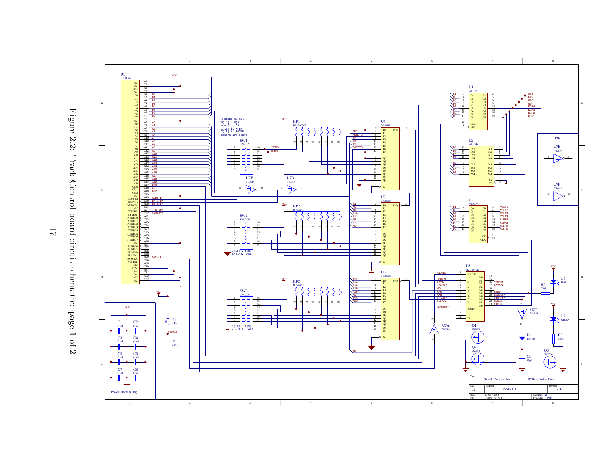



 $\overline{L}$ |<br>|<br>|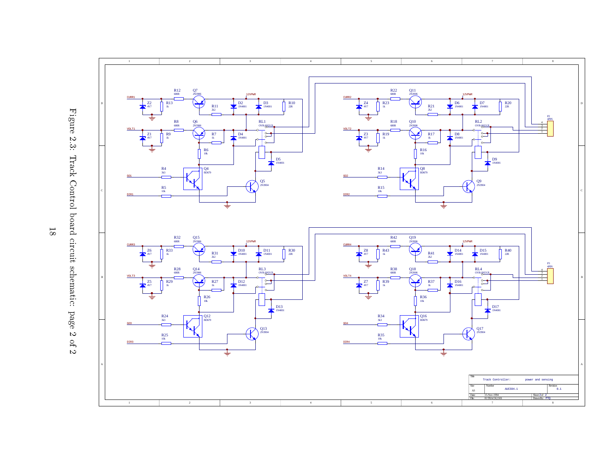

Figure 2.3: Track Control board circuit schematic: page 2 of 2 Figures 2011 2.3: Track Control Control Control Control Control Control Control Control Control Control Control Control Control Control Control Control Control Control Control Control Control Control Control Control Control Control Control Contro board circuit circuit circuit circuit circuit circuit circuit circuit circuit circuit circuit circuit circuit circuit schematic: page 2 of

2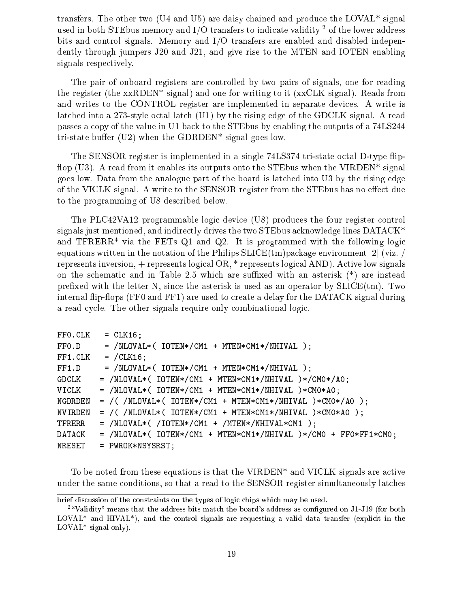transfers. The other two (U4 and U5) are daisy chained and produce the LOVAL\* signal used in both  $\mathcal{S}1$  educity and  $\mathcal{I}/\mathcal{O}$  transfers to indicate validity  $\mathcal{I}$  of the lower address bits and control signals. Memory and I/O transfers are enabled and disabled independently through jumpers J20 and J21, and give rise to the MTEN and IOTEN enabling signals respectively.

The pair of onboard registers are controlled by two pairs of signals, one for reading the register (the xxRDEN\* signal) and one for writing to it (xxCLK signal). Reads from and writes to the CONTROL register are implemented in separate devices. A write is latched into a 273-style octal latch (U1) by the rising edge of the GDCLK signal. A read passes a copy of the value in U1 back to the STEbus by enabling the outputs of a 74LS244 tri-state buffer (U2) when the GDRDEN\* signal goes low.

The SENSOR register is implemented in a single 74LS374 tri-state octal D-type flipflop (U3). A read from it enables its outputs onto the STE bus when the VIRDEN\* signal goes low. Data from the analogue part of the board is latched into U3 by the rising edge of the VICLK signal. A write to the SENSOR register from the STEbus has no effect due to the programming of U8 described below.

The PLC42VA12 programmable logic device (U8) produces the four register control signals just mentioned, and indirectly drives the two STEbus acknowledge lines DATACK\* and  $TFRERR^*$  via the FETs Q1 and Q2. It is programmed with the following logic equations written in the notation of the Philips  $SLICE(tm)$  package environment [2] (viz. / represents inversion, + represents logical OR, \* represents logical AND). Active low signals on the schematic and in Table 2.5 which are suffixed with an asterisk  $(*)$  are instead prefixed with the letter N, since the asterisk is used as an operator by  $SLICE(tm)$ . Two internal flip-flops (FF0 and FF1) are used to create a delay for the DATACK signal during a read cycle. The other signals require only combinational logic.

| FF0.CLK | $=$ CLK16;                                                        |
|---------|-------------------------------------------------------------------|
| FF0.D   | $=$ /NLOVAL*( IOTEN*/CM1 + MTEN*CM1*/NHIVAL );                    |
| FF1.CLK | $=$ /CLK16;                                                       |
| FF1.D   | $=$ /NLOVAL*( IOTEN*/CM1 + MTEN*CM1*/NHIVAL );                    |
| GDCLK   | $=$ /NLOVAL*( IOTEN*/CM1 + MTEN*CM1*/NHIVAL )*/CM0*/A0;           |
| VICLK   | $=$ /NLOVAL*( IOTEN*/CM1 + MTEN*CM1*/NHIVAL )*CM0*A0;             |
| NGDRDEN | $=$ /( /NLOVAL*( IOTEN*/CM1 + MTEN*CM1*/NHIVAL )*CM0*/A0 );       |
| NVIRDEN | $=$ /( /NLOVAL*( IOTEN*/CM1 + MTEN*CM1*/NHIVAL )*CM0*A0 );        |
| TFRERR  | $=$ /NLOVAL*( /IOTEN*/CM1 + /MTEN*/NHIVAL*CM1 );                  |
| DATACK  | $=$ /NLOVAL*( IOTEN*/CM1 + MTEN*CM1*/NHIVAL )*/CM0 + FF0*FF1*CM0; |
| NRESET  | $=$ PWROK*NSYSRST;                                                |

To be noted from these equations is that the VIRDEN\* and VICLK signals are active under the same conditions, so that a read to the SENSOR register simultaneously latches

brief discussion of the constraints on the types of logic chips which may be used.

<sup>&</sup>lt;sup>2</sup> "Validity" means that the address bits match the board's address as configured on J1-J19 (for both  $LOVAL^{*}$  and  $HIVAL^{*}$ ), and the control signals are requesting a valid data transfer (explicit in the LOVAL\* signal only).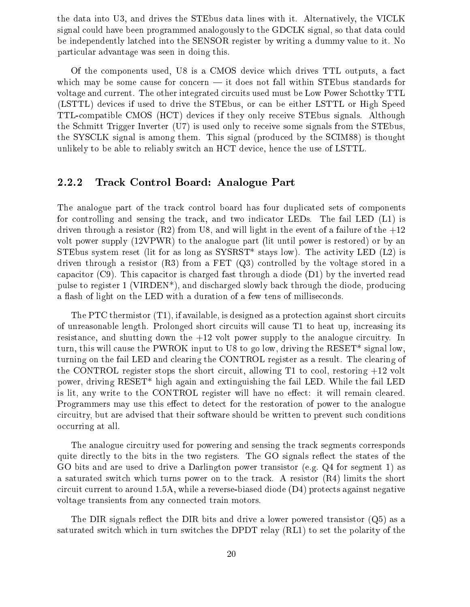the data into U3, and drives the STEbus data lines with it. Alternatively, the VICLK signal could have been programmed analogously to the GDCLK signal, so that data could be independently latched into the SENSOR register by writing a dummy value to it. No particular advantage was seen in doing this.

Of the components used, U8 is a CMOS device which drives TTL outputs, a fact which may be some cause for concern  $-$  it does not fall within STE bus standards for voltage and current. The other integrated circuits used must be Low Power Schottky TTL (LSTTL) devices if used to drive the STEbus, or can be either LSTTL or High Speed TTL-compatible CMOS (HCT) devices if they only receive STEbus signals. Although the Schmitt Trigger Inverter (U7) is used only to receive some signals from the STEbus, the SYSCLK signal is among them. This signal (produced by the SCIM88) is thought unlikely to be able to reliably switch an HCT device, hence the use of LSTTL.

## 2.2.2 Track Control Board: Analogue Part

The analogue part of the track control board has four duplicated sets of components for controlling and sensing the track, and two indicator LEDs. The fail LED (L1) is driven through a resistor  $(R2)$  from U8, and will light in the event of a failure of the  $+12$ volt power supply (12VPWR) to the analogue part (lit until power is restored) or by an STE bus system reset (lit for as long as  $SYSRST*$  stays low). The activity LED (L2) is driven through a resistor  $(R3)$  from a FET  $(Q3)$  controlled by the voltage stored in a capacitor (C9). This capacitor is charged fast through a diode  $(D1)$  by the inverted read pulse to register 1 (VIRDEN\*), and discharged slowly back through the diode, producing a ash of light on the LED with a duration of a few tens of milliseconds.

The PTC thermistor (T1), if available, is designed as a protection against short circuits of unreasonable length. Prolonged short circuits will cause T1 to heat up, increasing its resistance, and shutting down the +12 volt power supply to the analogue circuitry. In turn, this will cause the PWROK input to U8 to go low, driving the RESET\* signal low, turning on the fail LED and clearing the CONTROL register as a result. The clearing of the CONTROL register stops the short circuit, allowing T1 to cool, restoring +12 volt power, driving RESET\* high again and extinguishing the fail LED. While the fail LED is lit, any write to the CONTROL register will have no effect: it will remain cleared. Programmers may use this effect to detect for the restoration of power to the analogue circuitry, but are advised that their software should be written to prevent such conditions occurring at all.

The analogue circuitry used for powering and sensing the track segments corresponds quite directly to the bits in the two registers. The GO signals reflect the states of the GO bits and are used to drive a Darlington power transistor (e.g. Q4 for segment 1) as a saturated switch which turns power on to the track. A resistor (R4) limits the short circuit current to around 1.5A, while a reverse-biased diode (D4) protects against negative voltage transients from any connected train motors.

The DIR signals reflect the DIR bits and drive a lower powered transistor  $(Q5)$  as a saturated switch which in turn switches the DPDT relay (RL1) to set the polarity of the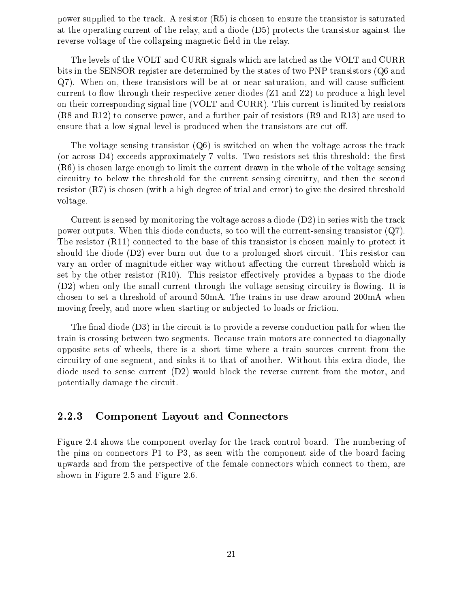power supplied to the track. A resistor  $(R5)$  is chosen to ensure the transistor is saturated at the operating current of the relay, and a diode (D5) protects the transistor against the reverse voltage of the collapsing magnetic field in the relay.

The levels of the VOLT and CURR signals which are latched as the VOLT and CURR bits in the SENSOR register are determined by the states of two PNP transistors (Q6 and  $Q7$ ). When on, these transistors will be at or near saturation, and will cause sufficient current to flow through their respective zener diodes  $(Z1 \text{ and } Z2)$  to produce a high level on their corresponding signal line (VOLT and CURR). This current is limited by resistors (R8 and R12) to conserve power, and a further pair of resistors (R9 and R13) are used to ensure that a low signal level is produced when the transistors are cut off.

The voltage sensing transistor  $(Q6)$  is switched on when the voltage across the track (or across  $D4$ ) exceeds approximately 7 volts. Two resistors set this threshold: the first (R6) is chosen large enough to limit the current drawn in the whole of the voltage sensing circuitry to below the threshold for the current sensing circuitry, and then the second resistor (R7) is chosen (with a high degree of trial and error) to give the desired threshold voltage.

Current is sensed by monitoring the voltage across a diode  $(D2)$  in series with the track power outputs. When this diode conducts, so too will the current-sensing transistor (Q7). The resistor (R11) connected to the base of this transistor is chosen mainly to protect it should the diode (D2) ever burn out due to a prolonged short circuit. This resistor can vary an order of magnitude either way without affecting the current threshold which is set by the other resistor  $(R10)$ . This resistor effectively provides a bypass to the diode  $(D2)$  when only the small current through the voltage sensing circuitry is flowing. It is chosen to set a threshold of around 50mA. The trains in use draw around 200mA when moving freely, and more when starting or subjected to loads or friction.

The final diode  $(D3)$  in the circuit is to provide a reverse conduction path for when the train is crossing between two segments. Because train motors are connected to diagonally opposite sets of wheels, there is a short time where a train sources current from the circuitry of one segment, and sinks it to that of another. Without this extra diode, the diode used to sense current (D2) would block the reverse current from the motor, and potentially damage the circuit.

### 2.2.3 Component Layout and Connectors

Figure 2.4 shows the component overlay for the track control board. The numbering of the pins on connectors P1 to P3, as seen with the component side of the board facing upwards and from the perspective of the female connectors which connect to them, are shown in Figure 2.5 and Figure 2.6.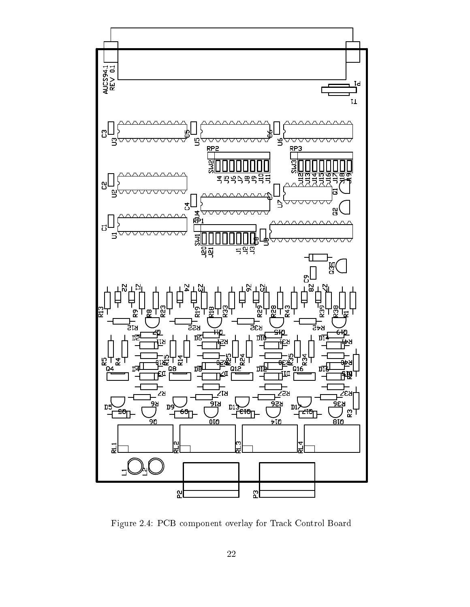

Figure 2.4: PCB component overlay for Track Control Board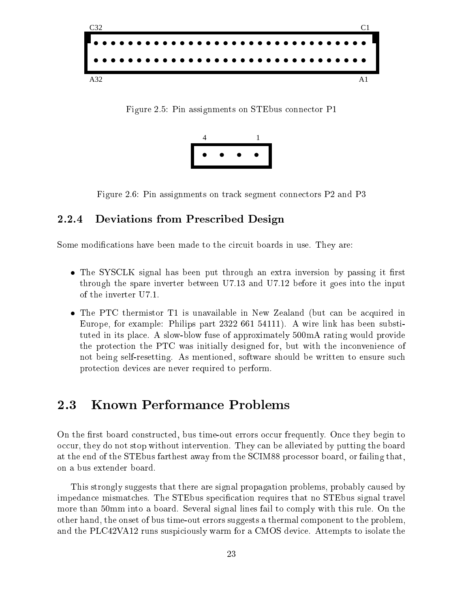

Figure 2.5: Pin assignments on STEbus connector P1



Figure 2.6: Pin assignments on track segment connectors P2 and P3

## 2.2.4 Deviations from Prescribed Design

Some modifications have been made to the circuit boards in use. They are:

- The SYSCLK signal has been put through an extra inversion by passing it first through the spare inverter between U7.13 and U7.12 before it goes into the input of the inverter U7.1.
- The PTC thermistor T1 is unavailable in New Zealand (but can be acquired in Europe, for example: Philips part 2322 661 54111). A wire link has been substituted in its place. A slow-blow fuse of approximately 500mA rating would provide the protection the PTC was initially designed for, but with the inconvenience of not being self-resetting. As mentioned, software should be written to ensure such protection devices are never required to perform.

#### **Known Performance Problems** 2.3

On the first board constructed, bus time-out errors occur frequently. Once they begin to occur, they do not stop without intervention. They can be alleviated by putting the board at the end of the STEbus farthest away from the SCIM88 processor board, or failing that, on a bus extender board.

This strongly suggests that there are signal propagation problems, probably caused by impedance mismatches. The STEbus specication requires that no STEbus signal travel more than 50mm into a board. Several signal lines fail to comply with this rule. On the other hand, the onset of bus time-out errors suggests a thermal component to the problem, and the PLC42VA12 runs suspiciously warm for a CMOS device. Attempts to isolate the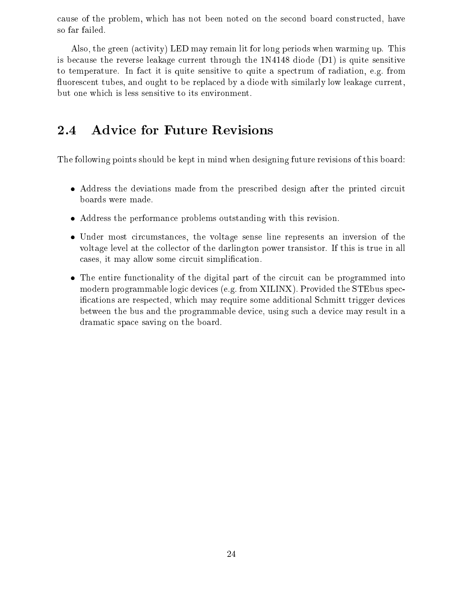cause of the problem, which has not been noted on the second board constructed, have so far failed.

Also, the green (activity) LED may remain lit for long periods when warming up. This is because the reverse leakage current through the 1N4148 diode (D1) is quite sensitive to temperature. In fact it is quite sensitive to quite a spectrum of radiation, e.g. from fluorescent tubes, and ought to be replaced by a diode with similarly low leakage current, but one which is less sensitive to its environment.

### **Advice for Future Revisions** 2.4

The following points should be kept in mind when designing future revisions of this board:

- Address the deviations made from the prescribed design after the printed circuit boards were made.
- Address the performance problems outstanding with this revision.
- Under most circumstances, the voltage sense line represents an inversion of the voltage level at the collector of the darlington power transistor. If this is true in all cases, it may allow some circuit simplication.
- The entire functionality of the digital part of the circuit can be programmed into modern programmable logic devices (e.g. from XILINX). Provided the STEbus specifications are respected, which may require some additional Schmitt trigger devices between the bus and the programmable device, using such a device may result in a dramatic space saving on the board.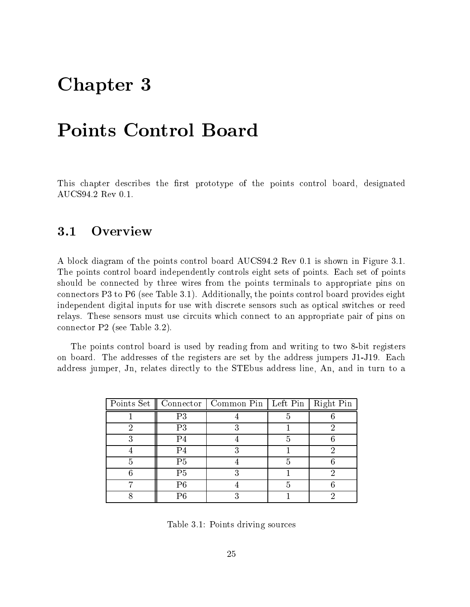## Chapter <sup>3</sup>

This chapter describes the first prototype of the points control board, designated AUCS94.2 Rev 0.1.

#### Overview  $3.1$

A block diagram of the points control board AUCS94.2 Rev 0.1 is shown in Figure 3.1. The points control board independently controls eight sets of points. Each set of points should be connected by three wires from the points terminals to appropriate pins on connectors P3 to P6 (see Table 3.1). Additionally, the points control board provides eight independent digital inputs for use with discrete sensors such as optical switches or reed relays. These sensors must use circuits which connect to an appropriate pair of pins on connector P2 (see Table 3.2).

The points control board is used by reading from and writing to two 8-bit registers on board. The addresses of the registers are set by the address jumpers J1-J19. Each address jumper, Jn, relates directly to the STEbus address line, An, and in turn to a

|   |                | Points Set    Connector   Common Pin   Left Pin   Right Pin |   |  |
|---|----------------|-------------------------------------------------------------|---|--|
|   | P3             |                                                             |   |  |
| ດ | P <sub>3</sub> |                                                             |   |  |
|   | P4             |                                                             | h |  |
|   | P4             |                                                             |   |  |
|   | P <sub>5</sub> |                                                             |   |  |
|   | P5             |                                                             |   |  |
|   | P6             |                                                             |   |  |
|   |                |                                                             |   |  |

Table 3.1: Points driving sources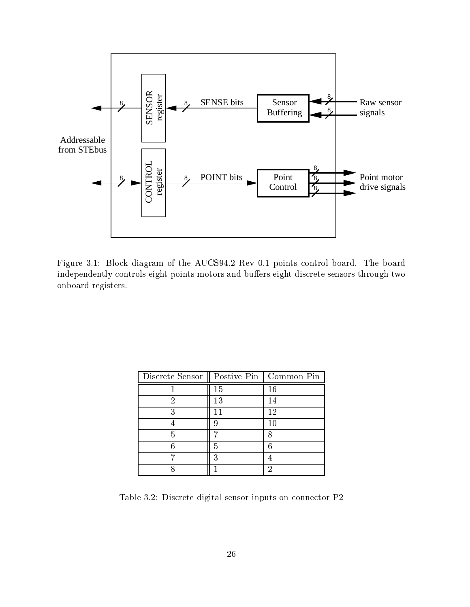

Figure 3.1: Block diagram of the AUCS94.2 Rev 0.1 points control board. The board independently controls eight points motors and buffers eight discrete sensors through two onboard registers.

| Discrete Sensor    Postive Pin   Common Pin |    |    |
|---------------------------------------------|----|----|
|                                             | 15 | 16 |
| ິງ                                          | 13 | 14 |
| 3                                           |    | 12 |
|                                             |    | 10 |
| 5                                           |    |    |
|                                             |    |    |
|                                             |    |    |
|                                             |    |    |

Table 3.2: Discrete digital sensor inputs on connector P2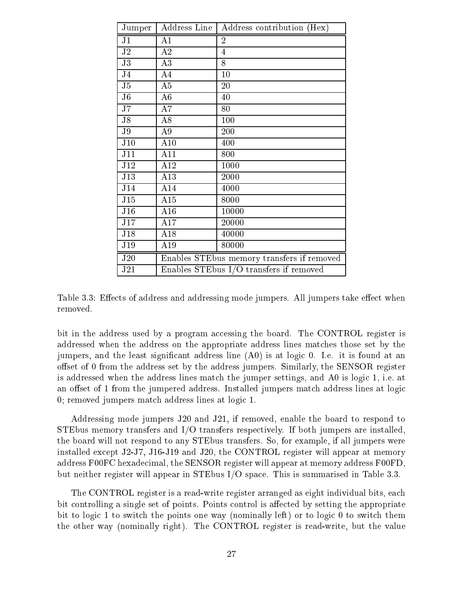| Jumper                 | Address Line                               | Address contribution (Hex) |
|------------------------|--------------------------------------------|----------------------------|
| J <sub>1</sub>         | A1                                         | 2                          |
| J <sub>2</sub>         | A2                                         | $\overline{4}$             |
| $\overline{J3}$        | A3                                         | 8                          |
| J <sub>4</sub>         | A4                                         | 10                         |
| J5                     | A5                                         | 20                         |
| $\overline{\text{J6}}$ | A <sub>6</sub>                             | 40                         |
| J7                     | A7                                         | 80                         |
| J8                     | A8                                         | 100                        |
| J <sub>9</sub>         | A <sub>9</sub>                             | 200                        |
| J10                    | A10                                        | 400                        |
| J11                    | A11                                        | 800                        |
| J12                    | A12                                        | 1000                       |
| J13                    | A13                                        | 2000                       |
| J14                    | A14                                        | 4000                       |
| J15                    | A15                                        | 8000                       |
| J16                    | A16                                        | 10000                      |
| J17                    | A17                                        | 20000                      |
| J18                    | A18                                        | 40000                      |
| J19                    | A19                                        | 80000                      |
| J20                    | Enables STEbus memory transfers if removed |                            |
| J21                    | Enables STEbus I/O transfers if removed    |                            |

Table 3.3: Effects of address and addressing mode jumpers. All jumpers take effect when removed.

bit in the address used by a program accessing the board. The CONTROL register is addressed when the address on the appropriate address lines matches those set by the jumpers, and the least signicant address line (A0) is at logic 0. I.e. it is found at an offset of 0 from the address set by the address jumpers. Similarly, the SENSOR register is addressed when the address lines match the jumper settings, and A0 is logic 1, i.e. at an offset of 1 from the jumpered address. Installed jumpers match address lines at logic 0; removed jumpers match address lines at logic 1.

Addressing mode jumpers J20 and J21, if removed, enable the board to respond to STEbus memory transfers and I/O transfers respectively. If both jumpers are installed, the board will not respond to any STEbus transfers. So, for example, if all jumpers were installed except J2-J7, J16-J19 and J20, the CONTROL register will appear at memory address F00FC hexadecimal, the SENSOR register will appear at memory address F00FD, but neither register will appear in STEbus I/O space. This is summarised in Table 3.3.

The CONTROL register is a read-write register arranged as eight individual bits, each bit controlling a single set of points. Points control is affected by setting the appropriate bit to logic 1 to switch the points one way (nominally left) or to logic 0 to switch them the other way (nominally right). The CONTROL register is read-write, but the value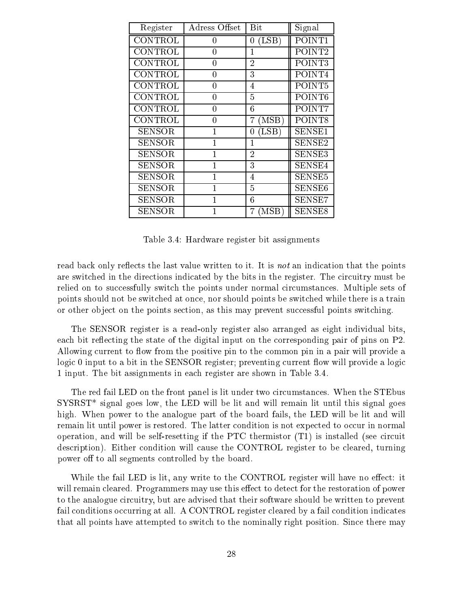| Register       | Adress Offset | Bit                                 | Signal             |
|----------------|---------------|-------------------------------------|--------------------|
| <b>CONTROL</b> | 0             | (LSB)<br>0                          | POINT1             |
| CONTROL        | 0             |                                     | POINT <sub>2</sub> |
| CONTROL        | 0             | $\overline{2}$                      | POINT3             |
| CONTROL        | 0             | 3                                   | POINT4             |
| CONTROL        | O             | 4                                   | POINT <sub>5</sub> |
| CONTROL        | 0             | 5                                   | POINT <sub>6</sub> |
| CONTROL        | 0             | 6                                   | POINT7             |
| CONTROL        | 0             | (MSB)<br>7                          | POINT8             |
| <b>SENSOR</b>  |               | $(\operatorname{LSB}^{\cdot})$<br>0 | SENSE1             |
| <b>SENSOR</b>  |               | 1                                   | SENSE2             |
| SENSOR         |               | $\overline{2}$                      | SENSE3             |
| <b>SENSOR</b>  |               | 3                                   | SENSE4             |
| <b>SENSOR</b>  |               | 4                                   | SENSE5             |
| <b>SENSOR</b>  |               | 5                                   | SENSE <sub>6</sub> |
| <b>SENSOR</b>  |               | 6                                   | SENSE7             |
| SENSOR         |               | MSB)<br>7                           | SENSE <sub>8</sub> |

Table 3.4: Hardware register bit assignments

read back only reflects the last value written to it. It is not an indication that the points are switched in the directions indicated by the bits in the register. The circuitry must be relied on to successfully switch the points under normal circumstances. Multiple sets of points should not be switched at once, nor should points be switched while there is a train or other ob ject on the points section, as this may prevent successful points switching.

The SENSOR register is a read-only register also arranged as eight individual bits, each bit reflecting the state of the digital input on the corresponding pair of pins on P2. Allowing current to flow from the positive pin to the common pin in a pair will provide a logic 0 input to a bit in the SENSOR register; preventing current flow will provide a logic 1 input. The bit assignments in each register are shown in Table 3.4.

The red fail LED on the front panel is lit under two circumstances. When the STEbus  ${\rm SYSRST}^*$  signal goes low, the LED will be lit and will remain lit until this signal goes high. When power to the analogue part of the board fails, the LED will be lit and will remain lit until power is restored. The latter condition is not expected to occur in normal operation, and will be self-resetting if the PTC thermistor (T1) is installed (see circuit description). Either condition will cause the CONTROL register to be cleared, turning power off to all segments controlled by the board.

While the fail LED is lit, any write to the CONTROL register will have no effect: it will remain cleared. Programmers may use this effect to detect for the restoration of power to the analogue circuitry, but are advised that their software should be written to prevent fail conditions occurring at all. A CONTROL register cleared by a fail condition indicates that all points have attempted to switch to the nominally right position. Since there may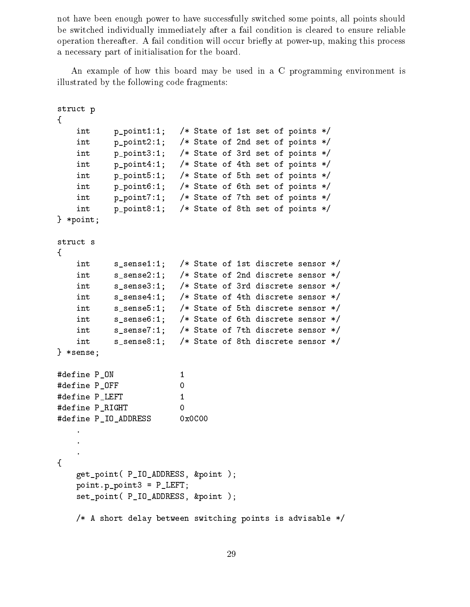not have been enough power to have successfully switched some points, all points should be switched individually immediately after a fail condition is cleared to ensure reliable operation thereafter. A fail condition will occur briefly at power-up, making this process a necessary part of initialisation for the board.

An example of how this board may be used in a C programming environment is illustrated by the following code fragments:

```
struct p
\mathcal{L}\simint p_point1:1; /* State of 1st set of points */
   int p_point2:1; /* State of 2nd set of points */
   int p_point3:1; /* State of 3rd set of points */
   int p_point4:1; /* State of 4th set of points */
   int p_point5:1; /* State of 5th set of points */
   int p_point6:1; /* State of 6th set of points */
   int p_point7:1; /* State of 7th set of points */
   int p_point8:1; /* State of 8th set of points */
} *point;
struct s
{
   int s_sense1:1; /* State of 1st discrete sensor */
   int s_sense2:1; /* State of 2nd discrete sensor */
   int s_sense3:1; /* State of 3rd discrete sensor */
   int s_sense4:1; /* State of 4th discrete sensor */
   int s_sense5:1; /* State of 5th discrete sensor */
   int s_sense6:1; /* State of 6th discrete sensor */
   int s_sense7:1; /* State of 7th discrete sensor */
   int s_sense8:1; /* State of 8th discrete sensor */
} *sense;
#define P_ON 1
#define P_OFF 0
#define P_LEFT 1
#define P_RIGHT 0
                        0
#define P_IO_ADDRESS
                       0x0C00{
   get_point( P_IO_ADDRESS, &point );
   point.p_point3 = P_LEFT;
   set_point( P_IO_ADDRESS, &point );
   /* A short delay between switching points is advisable */
```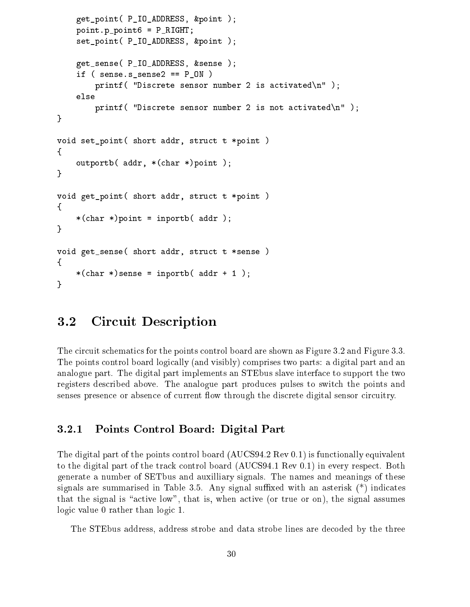```
get_point( P_IO_ADDRESS, &point );
    point.p_point6 = P_RIGHT;
    set_point( P_IO_ADDRESS, &point );
    get_sense( P_IO_ADDRESS, &sense );
    if ( sense.s_sense2 == P_ON )
        printf( "Discrete sensor number 2 is activated\n" );
    else
        printf( "Discrete sensor number 2 is not activated\n" );
}
void set_point( short addr, struct t *point )
{
    outportb( addr, *(char *)point );
}
void get_point( short addr, struct t *point )
{
    *(char *)point = inportb( addr );
}
void get_sense( short addr, struct t *sense )
{
    *(char * )sense = inportb( addr + 1);
ł
}
```
#### $3.2$ 3.2 Circuit Description

The circuit schematics for the points control board are shown as Figure 3.2 and Figure 3.3. The points control board logically (and visibly) comprises two parts: a digital part and an analogue part. The digital part implements an STEbus slave interface to support the two registers described above. The analogue part produces pulses to switch the points and senses presence or absence of current flow through the discrete digital sensor circuitry.

## 3.2.1 Points Control Board: Digital Part

The digital part of the points control board (AUCS94.2 Rev 0.1) is functionally equivalent to the digital part of the track control board (AUCS94.1 Rev 0.1) in every respect. Both generate a number of SETbus and auxilliary signals. The names and meanings of these signals are summarised in Table 3.5. Any signal suffixed with an asterisk  $(*)$  indicates that the signal is "active low", that is, when active (or true or on), the signal assumes logic value 0 rather than logic 1.

The STEbus address, address strobe and data strobe lines are decoded by the three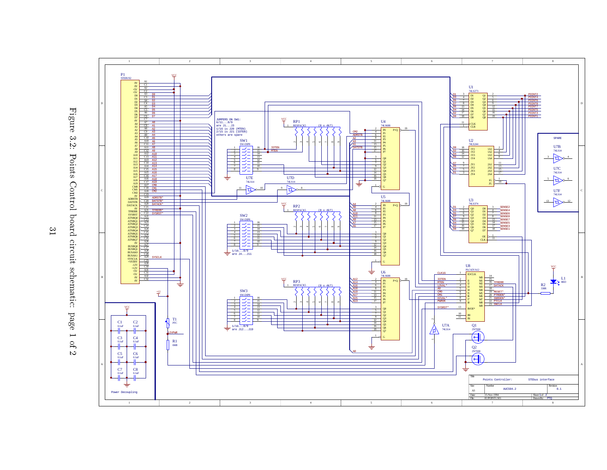



 $\approx$ 1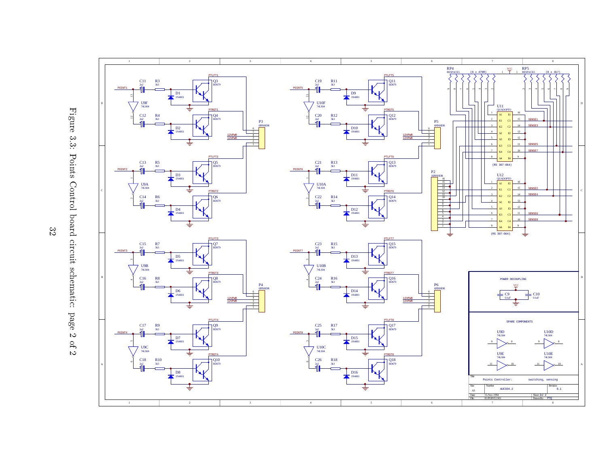



 $32$ 32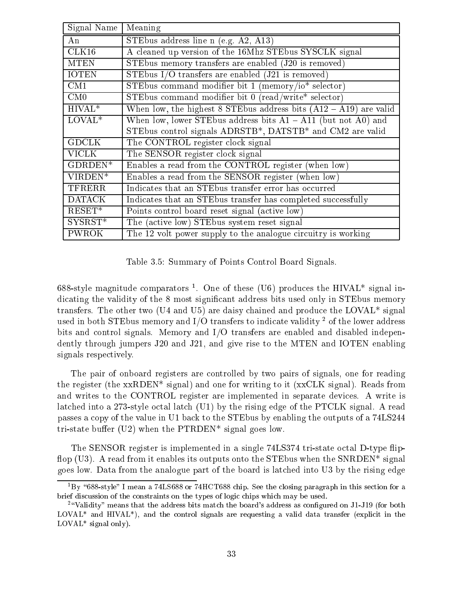| Signal Name   | Meaning                                                             |
|---------------|---------------------------------------------------------------------|
| An            | STEbus address line $n$ (e.g. A2, A13)                              |
| CLK16         | A cleaned up version of the 16Mhz STEbus SYSCLK signal              |
| <b>MTEN</b>   | STEbus memory transfers are enabled $(J20$ is removed)              |
| <b>IOTEN</b>  | STEbus I/O transfers are enabled $(J21$ is removed)                 |
| CM1           | STEbus command modifier bit 1 (memory/io* selector)                 |
| CM0           | STEbus command modifier bit 0 (read/write* selector)                |
| $HIVAL*$      | When low, the highest 8 STEbus address bits $(A12 - A19)$ are valid |
| $LOVAL^{*}$   | When low, lower STEbus address bits $A1 - A11$ (but not A0) and     |
|               | STEbus control signals ADRSTB*, DATSTB* and CM2 are valid           |
| <b>GDCLK</b>  | The CONTROL register clock signal                                   |
| <b>VICLK</b>  | The SENSOR register clock signal                                    |
| GDRDEN*       | Enables a read from the CONTROL register (when low)                 |
| $VIRDEN*$     | Enables a read from the SENSOR register (when low)                  |
| TFRERR        | Indicates that an STE bus transfer error has occurred               |
| <b>DATACK</b> | Indicates that an STE bus transfer has completed successfully       |
| $RESET*$      | Points control board reset signal (active low)                      |
| $SYSRST*$     | The (active low) STEbus system reset signal                         |
| <b>PWROK</b>  | The 12 volt power supply to the analogue circuitry is working       |

Table 3.5: Summary of Points Control Board Signals.

oss-style magnitude comparators . One of these (O6) produces the HIVAL \* signal indicating the validity of the 8 most significant address bits used only in STEbus memory transfers. The other two (U4 and U5) are daisy chained and produce the LOVAL\* signal used in both STEbus memory and I/O transfers to indicate validity <sup>2</sup> of the lower address bits and control signals. Memory and I/O transfers are enabled and disabled independently through jumpers J20 and J21, and give rise to the MTEN and IOTEN enabling signals respectively.

The pair of onboard registers are controlled by two pairs of signals, one for reading the register (the xxRDEN\* signal) and one for writing to it (xxCLK signal). Reads from and writes to the CONTROL register are implemented in separate devices. A write is latched into a 273-style octal latch (U1) by the rising edge of the PTCLK signal. A read passes a copy of the value in U1 back to the STEbus by enabling the outputs of a 74LS244 tri-state buffer (U2) when the  $PTRDEN^*$  signal goes low.

The SENSOR register is implemented in a single 74LS374 tri-state octal D-type flipflop  $(U3)$ . A read from it enables its outputs onto the STE bus when the SNRDEN\* signal goes low. Data from the analogue part of the board is latched into U3 by the rising edge

 $158$  = 088-style" I mean a 74LS688 or 74HCT688 chip. See the closing paragraph in this section for a brief discussion of the constraints on the types of logic chips which may be used.

 $^{24}$ Walidity" means that the address bits match the board's address as configured on J1-J19 (for both  $LOVAL^{*}$  and  $HIVAL^{*}$ ), and the control signals are requesting a valid data transfer (explicit in the LOVAL\* signal only).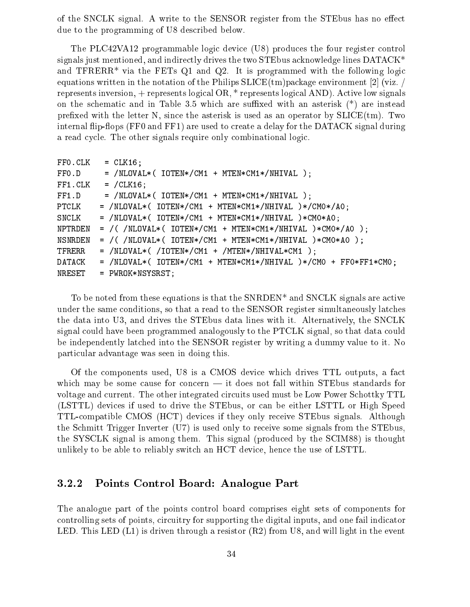of the SNCLK signal. A write to the SENSOR register from the STEbus has no effect due to the programming of U8 described below.

The PLC42VA12 programmable logic device (U8) produces the four register control signals just mentioned, and indirectly drives the two STEbus acknowledge lines DATACK\* and TFRERR<sup>\*</sup> via the FETs Q1 and Q2. It is programmed with the following logic equations written in the notation of the Philips  $SLICE(tm)$  package environment [2] (viz. / represents inversion, + represents logical OR, \* represents logical AND). Active low signals on the schematic and in Table 3.5 which are suffixed with an asterisk  $(*)$  are instead prefixed with the letter N, since the asterisk is used as an operator by  $SLICE(tm)$ . Two internal flip-flops (FF0 and FF1) are used to create a delay for the DATACK signal during a read cycle. The other signals require only combinational logic.

```
FFO.CLK = CLK16;FF0.D = /NLOVAL*(IOTEN*/CM1 + MTEN*CM1*/NHIVAL);
FF1.CLK = /CLK16;FF1.D = /NLOVAL*(IOTEN*/CM1 + MTEN*CM1*/NHIVAL);
PTCLK = /NLOVAL*( IOTEN*/CM1 + MTEN*CM1*/NHIVAL )*/CM0*/A0;
SNCLK = /NLOVAL*( IOTEN*/CM1 + MTEN*CM1*/NHIVAL )*CM0*A0;
NPTRDEN = / ( /NLOVAL* ( IOTEN* / CM1 + MTEN*CM1* / NHIVAL) *CMO* / AO );
NSNREDEN = / ( /NLOVAL* ( IOTEN*/CM1 + MTEM*CM1*/NHIVAL )*CM0*AO );
TFERER = /NLOVAL* ( /IOTEN*/CM1 + /MTEN*/NHIVAL*CM1 );
DATACK = /NLOVAL*( IOTEN*/CM1 + MTEN*CM1*/NHIVAL )*/CM0 + FF0*FF1*CM0;
NRESET = PWROK*NSYSRST;
```
To be noted from these equations is that the SNRDEN\* and SNCLK signals are active under the same conditions, so that a read to the SENSOR register simultaneously latches the data into U3, and drives the STEbus data lines with it. Alternatively, the SNCLK signal could have been programmed analogously to the PTCLK signal, so that data could be independently latched into the SENSOR register by writing a dummy value to it. No particular advantage was seen in doing this.

Of the components used, U8 is a CMOS device which drives TTL outputs, a fact which may be some cause for concern  $-$  it does not fall within STEbus standards for voltage and current. The other integrated circuits used must be Low Power Schottky TTL (LSTTL) devices if used to drive the STEbus, or can be either LSTTL or High Speed TTL-compatible CMOS (HCT) devices if they only receive STEbus signals. Although the Schmitt Trigger Inverter (U7) is used only to receive some signals from the STEbus, the SYSCLK signal is among them. This signal (produced by the SCIM88) is thought unlikely to be able to reliably switch an HCT device, hence the use of LSTTL.

### 3.2.2 Points Control Board: Analogue Part

The analogue part of the points control board comprises eight sets of components for controlling sets of points, circuitry for supporting the digital inputs, and one fail indicator LED. This LED  $(L1)$  is driven through a resistor  $(R2)$  from U8, and will light in the event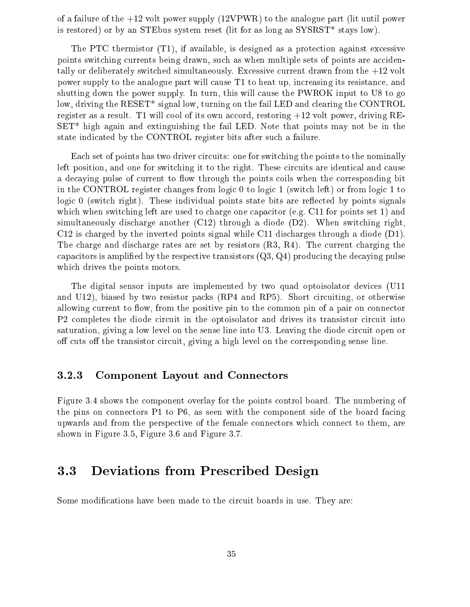of a failure of the  $+12$  volt power supply (12VPWR) to the analogue part (lit until power is restored) or by an STEbus system reset (lit for as long as SYSRST\* stays low).

The PTC thermistor (T1), if available, is designed as a protection against excessive points switching currents being drawn, such as when multiple sets of points are accidentally or deliberately switched simultaneously. Excessive current drawn from the  $+12$  volt power supply to the analogue part will cause T1 to heat up, increasing its resistance, and shutting down the power supply. In turn, this will cause the PWROK input to U8 to go low, driving the RESET\* signal low, turning on the fail LED and clearing the CONTROL register as a result. T1 will cool of its own accord, restoring +12 volt power, driving RE-SET\* high again and extinguishing the fail LED. Note that points may not be in the state indicated by the CONTROL register bits after such a failure.

Each set of points has two driver circuits: one for switching the points to the nominally left position, and one for switching it to the right. These circuits are identical and cause a decaying pulse of current to flow through the points coils when the corresponding bit in the CONTROL register changes from logic 0 to logic 1 (switch left) or from logic 1 to logic  $\theta$  (switch right). These individual points state bits are reflected by points signals which when switching left are used to charge one capacitor (e.g. C11 for points set 1) and simultaneously discharge another (C12) through a diode (D2). When switching right, C12 is charged by the inverted points signal while C11 discharges through a diode (D1). The charge and discharge rates are set by resistors (R3, R4). The current charging the capacitors is amplified by the respective transistors  $(Q3, Q4)$  producing the decaying pulse which drives the points motors.

The digital sensor inputs are implemented by two quad optoisolator devices (U11 and U12), biased by two resistor packs (RP4 and RP5). Short circuiting, or otherwise allowing current to flow, from the positive pin to the common pin of a pair on connector P2 completes the diode circuit in the optoisolator and drives its transistor circuit into saturation, giving a low level on the sense line into U3. Leaving the diode circuit open or off cuts off the transistor circuit, giving a high level on the corresponding sense line.

### 3.2.3 Component Layout and Connectors

Figure 3.4 shows the component overlay for the points control board. The numbering of the pins on connectors P1 to P6, as seen with the component side of the board facing upwards and from the perspective of the female connectors which connect to them, are shown in Figure 3.5, Figure 3.6 and Figure 3.7.

## 3.3 Deviations from Prescribed Design

Some modifications have been made to the circuit boards in use. They are: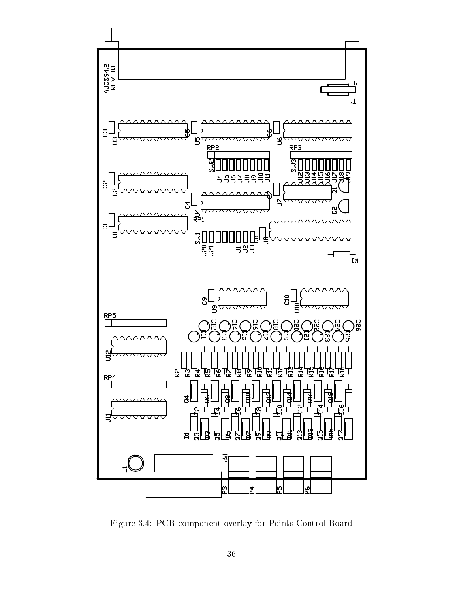

Figure 3.4: PCB component overlay for Points Control Board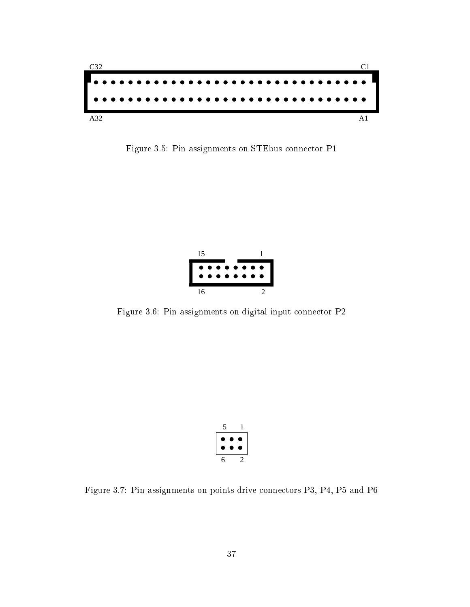

Figure 3.5: Pin assignments on STEbus connector P1



Figure 3.6: Pin assignments on digital input connector P2

| ć         |           |   |
|-----------|-----------|---|
| $\bullet$ | $\bullet$ | ۰ |
| ●         | $\bullet$ | æ |
|           |           |   |

Figure 3.7: Pin assignments on points drive connectors P3, P4, P5 and P6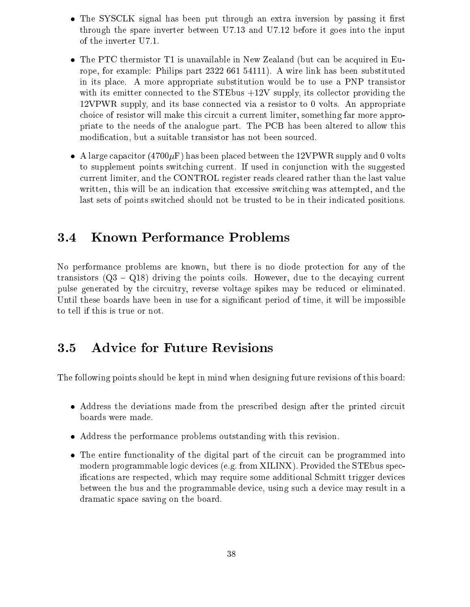- The SYSCLK signal has been put through an extra inversion by passing it first through the spare inverter between U7.13 and U7.12 before it goes into the input of the inverter U7.1.
- The PTC thermistor T1 is unavailable in New Zealand (but can be acquired in Europe, for example: Philips part 2322 661 54111). A wire link has been substituted in its place. A more appropriate substitution would be to use a PNP transistor with its emitter connected to the STE bus  $+12V$  supply, its collector providing the 12VPWR supply, and its base connected via a resistor to 0 volts. An appropriate choice of resistor will make this circuit a current limiter, something far more appropriate to the needs of the analogue part. The PCB has been altered to allow this modification, but a suitable transistor has not been sourced.
- A large capacitor (4700 $\mu$ F) has been placed between the 12VPWR supply and 0 volts to supplement points switching current. If used in conjunction with the suggested current limiter, and the CONTROL register reads cleared rather than the last value written, this will be an indication that excessive switching was attempted, and the last sets of points switched should not be trusted to be in their indicated positions.

### 3.4 Known Performance Problems  $3.4$

No performance problems are known, but there is no diode protection for any of the transistors  $(Q3 - Q18)$  driving the points coils. However, due to the decaying current pulse generated by the circuitry, reverse voltage spikes may be reduced or eliminated. Until these boards have been in use for a signicant period of time, it will be impossible to tell if this is true or not.

## 3.5 Advice for Future Revisions

The following points should be kept in mind when designing future revisions of this board:

- Address the deviations made from the prescribed design after the printed circuit boards were made.
- Address the performance problems outstanding with this revision.
- The entire functionality of the digital part of the circuit can be programmed into modern programmable logic devices (e.g. from XILINX). Provided the STEbus specications are respected, which may require some additional Schmitt trigger devices between the bus and the programmable device, using such a device may result in a dramatic space saving on the board.